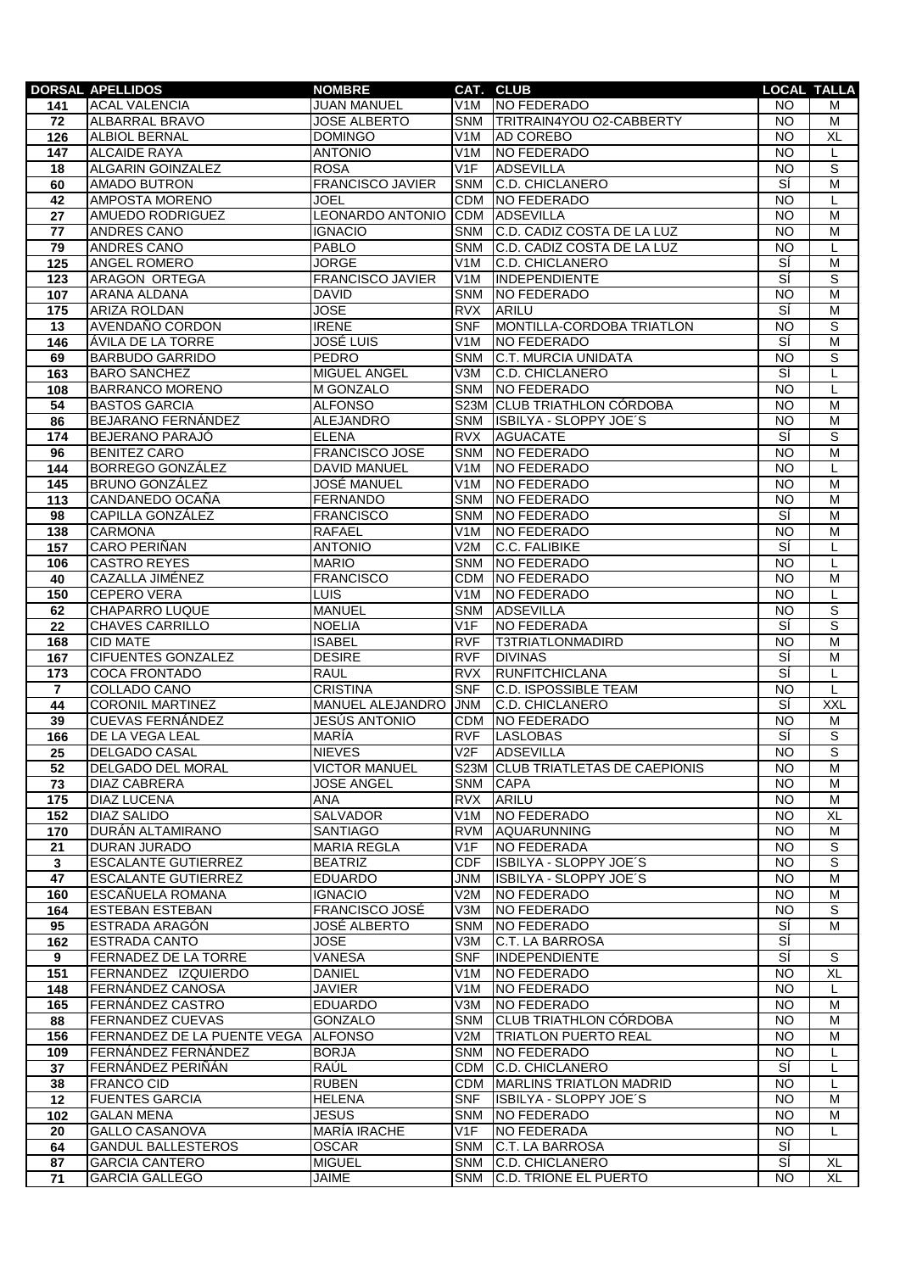|                 | <b>DORSAL APELLIDOS</b>                   | <b>NOMBRE</b>                           |                                      | CAT. CLUB                         |                        | <b>LOCAL TALLA</b> |
|-----------------|-------------------------------------------|-----------------------------------------|--------------------------------------|-----------------------------------|------------------------|--------------------|
| 141             | <b>ACAL VALENCIA</b>                      | <b>JUAN MANUEL</b>                      | V1M                                  | <b>NO FEDERADO</b>                | NO                     | м                  |
| 72              | ALBARRAL BRAVO                            | <b>JOSE ALBERTO</b>                     | SNM                                  | <b>ITRITRAIN4YOU O2-CABBERTY</b>  | NO                     | м                  |
| 126             | <b>ALBIOL BERNAL</b>                      | <b>DOMINGO</b>                          | V1M                                  | <b>AD COREBO</b>                  | <b>NO</b>              | <b>XL</b>          |
| 147             | <b>ALCAIDE RAYA</b>                       | <b>ANTONIO</b>                          | V1M                                  | NO FEDERADO                       | <b>NO</b>              | L                  |
| 18              | ALGARIN GOINZALEZ                         | <b>ROSA</b>                             | V1F                                  | <b>ADSEVILLA</b>                  | <b>NO</b>              | ड                  |
| 60              | <b>AMADO BUTRON</b>                       | <b>FRANCISCO JAVIER</b>                 | <b>SNM</b>                           | C.D. CHICLANERO                   | sí                     | M                  |
| 42              | AMPOSTA MORENO                            | JOEL                                    | <b>CDM</b>                           | NO FEDERADO                       | <b>NO</b>              | L                  |
| 27              | AMUEDO RODRIGUEZ                          | LEONARDO ANTONIO                        | <b>CDM</b>                           | <b>ADSEVILLA</b>                  | <b>NO</b>              | M                  |
| $\overline{77}$ | <b>ANDRES CANO</b>                        | <b>IGNACIO</b>                          | <b>SNM</b>                           | C.D. CADIZ COSTA DE LA LUZ        | <b>NO</b>              | M                  |
| 79              | <b>ANDRES CANO</b>                        | PABLO                                   | <b>SNM</b>                           | C.D. CADIZ COSTA DE LA LUZ        | <b>NO</b>              | L                  |
| 125             | ANGEL ROMERO<br><b>ARAGON ORTEGA</b>      | <b>JORGE</b><br><b>FRANCISCO JAVIER</b> | V <sub>1</sub> M<br>V <sub>1</sub> M | C.D. CHICLANERO<br>INDEPENDIENTE  | SÍ<br>Ξi               | M<br>S             |
| 123             |                                           | <b>DAVID</b>                            | <b>SNM</b>                           | NO FEDERADO                       | <b>NO</b>              | $\overline{M}$     |
| 107<br>175      | ARANA ALDANA<br><b>ARIZA ROLDAN</b>       | <b>JOSE</b>                             | <b>RVX</b>                           | ARILU                             | Ξí                     | M                  |
| 13              | AVENDAÑO CORDON                           | <b>IRENE</b>                            | <b>SNF</b>                           | MONTILLA-CORDOBA TRIATLON         | <b>NO</b>              | S                  |
| 146             | ÁVILA DE LA TORRE                         | <b>JOSÉ LUIS</b>                        | V1M                                  | NO FEDERADO                       | sí                     | M                  |
| 69              | <b>BARBUDO GARRIDO</b>                    | PEDRO                                   | <b>SNM</b>                           | C.T. MURCIA UNIDATA               | <b>NO</b>              | S                  |
| 163             | <b>BARO SANCHEZ</b>                       | MIGUEL ANGEL                            | V3M                                  | <b>C.D. CHICLANERO</b>            | Ξi                     | L                  |
| 108             | <b>BARRANCO MORENO</b>                    | M GONZALO                               | <b>SNM</b>                           | NO FEDERADO                       | <b>NO</b>              | L                  |
| 54              | <b>BASTOS GARCIA</b>                      | <b>ALFONSO</b>                          |                                      | S23M CLUB TRIATHLON CÓRDOBA       | <b>NO</b>              | $\overline{M}$     |
| 86              | BEJARANO FERNÁNDEZ                        | ALEJANDRO                               | SNM                                  | ISBILYA - SLOPPY JOE'S            | <b>NO</b>              | M                  |
| 174             | BEJERANO PARAJÓ                           | <b>ELENA</b>                            | <b>RVX</b>                           | <b>AGUACATE</b>                   | sí                     | s                  |
| 96              | <b>BENITEZ CARO</b>                       | <b>FRANCISCO JOSE</b>                   | SNM                                  | NO FEDERADO                       | <b>NO</b>              | M                  |
| 144             | BORREGO GONZÁLEZ                          | <b>DAVID MANUEL</b>                     | V <sub>1</sub> M                     | <b>NO FEDERADO</b>                | <b>NO</b>              | L.                 |
| 145             | <b>BRUNO GONZÁLEZ</b>                     | <b>JOSÉ MANUEL</b>                      | V <sub>1</sub> M                     | NO FEDERADO                       | $\overline{NO}$        | $\overline{M}$     |
| 113             | CANDANEDO OCAÑA                           | <b>FERNANDO</b>                         | <b>SNM</b>                           | NO FEDERADO                       | <b>NO</b>              | M                  |
| 98              | CAPILLA GONZÁLEZ                          | <b>FRANCISCO</b>                        | <b>SNM</b>                           | NO FEDERADO                       | SÍ                     | M                  |
| 138             | <b>CARMONA</b>                            | <b>RAFAEL</b>                           | V <sub>1</sub> M                     | <b>NO FEDERADO</b>                | <b>NO</b>              | M                  |
| 157             | CARO PERIÑAN                              | <b>ANTONIO</b>                          | V2M                                  | <b>C.C. FALIBIKE</b>              | sí                     | L                  |
| 106             | <b>CASTRO REYES</b>                       | <b>MARIO</b>                            | <b>SNM</b>                           | NO FEDERADO                       | <b>NO</b>              | L                  |
| 40              | CAZALLA JIMÉNEZ                           | <b>FRANCISCO</b>                        | <b>CDM</b>                           | NO FEDERADO                       | <b>NO</b>              | M                  |
| 150             | <b>CEPERO VERA</b>                        | LUIS                                    | V1M                                  | NO FEDERADO                       | <b>NO</b>              | L                  |
| 62              | CHAPARRO LUQUE                            | <b>MANUEL</b>                           | <b>SNM</b>                           | <b>ADSEVILLA</b>                  | <b>NO</b>              | $\overline{s}$     |
| 22              | <b>CHAVES CARRILLO</b>                    | <b>NOELIA</b>                           | V1F                                  | <b>NO FEDERADA</b>                | SÍ                     | S                  |
| 168             | <b>CID MATE</b>                           | <b>ISABEL</b>                           | <b>RVF</b>                           | <b>T3TRIATLONMADIRD</b>           | <b>NO</b>              | M                  |
| 167             | <b>CIFUENTES GONZALEZ</b>                 | <b>DESIRE</b>                           | <b>RVF</b>                           | <b>DIVINAS</b>                    | sí                     | M                  |
| 173             | <b>COCA FRONTADO</b>                      | <b>RAUL</b>                             | <b>RVX</b>                           | <b>RUNFITCHICLANA</b>             | sí                     | L                  |
| $\overline{7}$  | <b>COLLADO CANO</b>                       | <b>CRISTINA</b>                         | <b>SNF</b>                           | <b>C.D. ISPOSSIBLE TEAM</b>       | NO                     | L                  |
| 44              | <b>CORONIL MARTINEZ</b>                   | MANUEL ALEJANDRO                        | <b>JNM</b>                           | <b>C.D. CHICLANERO</b>            | Ξi                     | <b>XXL</b>         |
| 39              | <b>CUEVAS FERNÁNDEZ</b>                   | <b>JESÚS ANTONIO</b>                    | <b>CDM</b>                           | NO FEDERADO                       | <b>NO</b>              | M                  |
| 166             | DE LA VEGA LEAL                           | MARÍA                                   | <b>RVF</b>                           | <b>LASLOBAS</b>                   | sí                     | $\overline{s}$     |
| 25              | <b>DELGADO CASAL</b>                      | <b>NIEVES</b>                           | V2F                                  | ADSEVILLA                         | <b>NO</b>              | S                  |
| 52              | DELGADO DEL MORAL                         | <b>VICTOR MANUEL</b>                    |                                      | S23M CLUB TRIATLETAS DE CAEPIONIS | NO.                    | M                  |
| 73              | <b>DIAZ CABRERA</b><br><b>DIAZ LUCENA</b> | <b>JOSE ANGEL</b><br>ANA                | SNM<br><b>RVX</b>                    | <b>CAPA</b><br>ARILU              | <b>NO</b><br><b>NO</b> | м<br>M             |
| 175<br>152      | DIAZ SALIDO                               | SALVADOR                                | V <sub>1</sub> M                     | NO FEDERADO                       | <b>NO</b>              | XL                 |
| 170             | DURÁN ALTAMIRANO                          | SANTIAGO                                | <b>RVM</b>                           | AQUARUNNING                       | <b>NO</b>              | M                  |
| 21              | DURAN JURADO                              | <b>MARIA REGLA</b>                      | V1F                                  | NO FEDERADA                       | <b>NO</b>              | S                  |
| $\mathbf{3}$    | <b>ESCALANTE GUTIERREZ</b>                | <b>BEATRIZ</b>                          | <b>CDF</b>                           | ISBILYA - SLOPPY JOE'S            | <b>NO</b>              | $\overline{s}$     |
| 47              | <b>ESCALANTE GUTIERREZ</b>                | <b>EDUARDO</b>                          | JNM                                  | ISBILYA - SLOPPY JOE'S            | <b>NO</b>              | M                  |
| 160             | ESCAÑUELA ROMANA                          | <b>IGNACIO</b>                          | V2M                                  | NO FEDERADO                       | <b>NO</b>              | M                  |
| 164             | ESTEBAN ESTEBAN                           | <b>FRANCISCO JOSÉ</b>                   | V3M                                  | NO FEDERADO                       | <b>NO</b>              | S                  |
| 95              | ESTRADA ARAGÓN                            | JOSÉ ALBERTO                            | <b>SNM</b>                           | NO FEDERADO                       | SÍ                     | м                  |
| 162             | ESTRADA CANTO                             | <b>JOSE</b>                             | V3M                                  | <b>C.T. LA BARROSA</b>            | SÍ                     |                    |
| 9               | FERNADEZ DE LA TORRE                      | VANESA                                  | <b>SNF</b>                           | INDEPENDIENTE                     | SÍ                     | S                  |
| 151             | FERNANDEZ IZQUIERDO                       | <b>DANIEL</b>                           | V1M                                  | NO FEDERADO                       | <b>NO</b>              | XL                 |
| 148             | FERNÁNDEZ CANOSA                          | <b>JAVIER</b>                           | V1M                                  | NO FEDERADO                       | <b>NO</b>              | L                  |
| 165             | FERNÁNDEZ CASTRO                          | <b>EDUARDO</b>                          | V3M                                  | NO FEDERADO                       | <b>NO</b>              | м                  |
| 88              | FERNANDEZ CUEVAS                          | GONZALO                                 | <b>SNM</b>                           | <b>CLUB TRIATHLON CÓRDOBA</b>     | <b>NO</b>              | M                  |
| 156             | FERNANDEZ DE LA PUENTE VEGA ALFONSO       |                                         | V2M                                  | <b>TRIATLON PUERTO REAL</b>       | <b>NO</b>              | M                  |
| 109             | FERNÁNDEZ FERNÁNDEZ                       | <b>BORJA</b>                            | <b>SNM</b>                           | NO FEDERADO                       | <b>NO</b>              | L                  |
| 37              | FERNÁNDEZ PERIÑÁN                         | RAÚL                                    | <b>CDM</b>                           | C.D. CHICLANERO                   | SÍ                     | L                  |
| 38              | <b>FRANCO CID</b>                         | <b>RUBEN</b>                            | <b>CDM</b>                           | <b>MARLINS TRIATLON MADRID</b>    | <b>NO</b>              | L                  |
| 12              | <b>FUENTES GARCIA</b>                     | <b>HELENA</b>                           | <b>SNF</b>                           | ISBILYA - SLOPPY JOE'S            | <b>NO</b>              | M                  |
| 102             | <b>GALAN MENA</b>                         | <b>JESUS</b>                            | <b>SNM</b>                           | NO FEDERADO                       | <b>NO</b>              | M                  |
| 20              | <b>GALLO CASANOVA</b>                     | <b>MARÍA IRACHE</b>                     | V1F                                  | NO FEDERADA                       | <b>NO</b>              | L                  |
| 64              | <b>GANDUL BALLESTEROS</b>                 | <b>OSCAR</b>                            | <b>SNM</b>                           | C.T. LA BARROSA                   | SÍ                     |                    |
| 87              | <b>GARCIA CANTERO</b>                     | <b>MIGUEL</b>                           | <b>SNM</b>                           | <b>C.D. CHICLANERO</b>            | Ξí                     | XL                 |
| 71              | <b>GARCIA GALLEGO</b>                     | JAIME                                   | <b>SNM</b>                           | C.D. TRIONE EL PUERTO             | <b>NO</b>              | XL                 |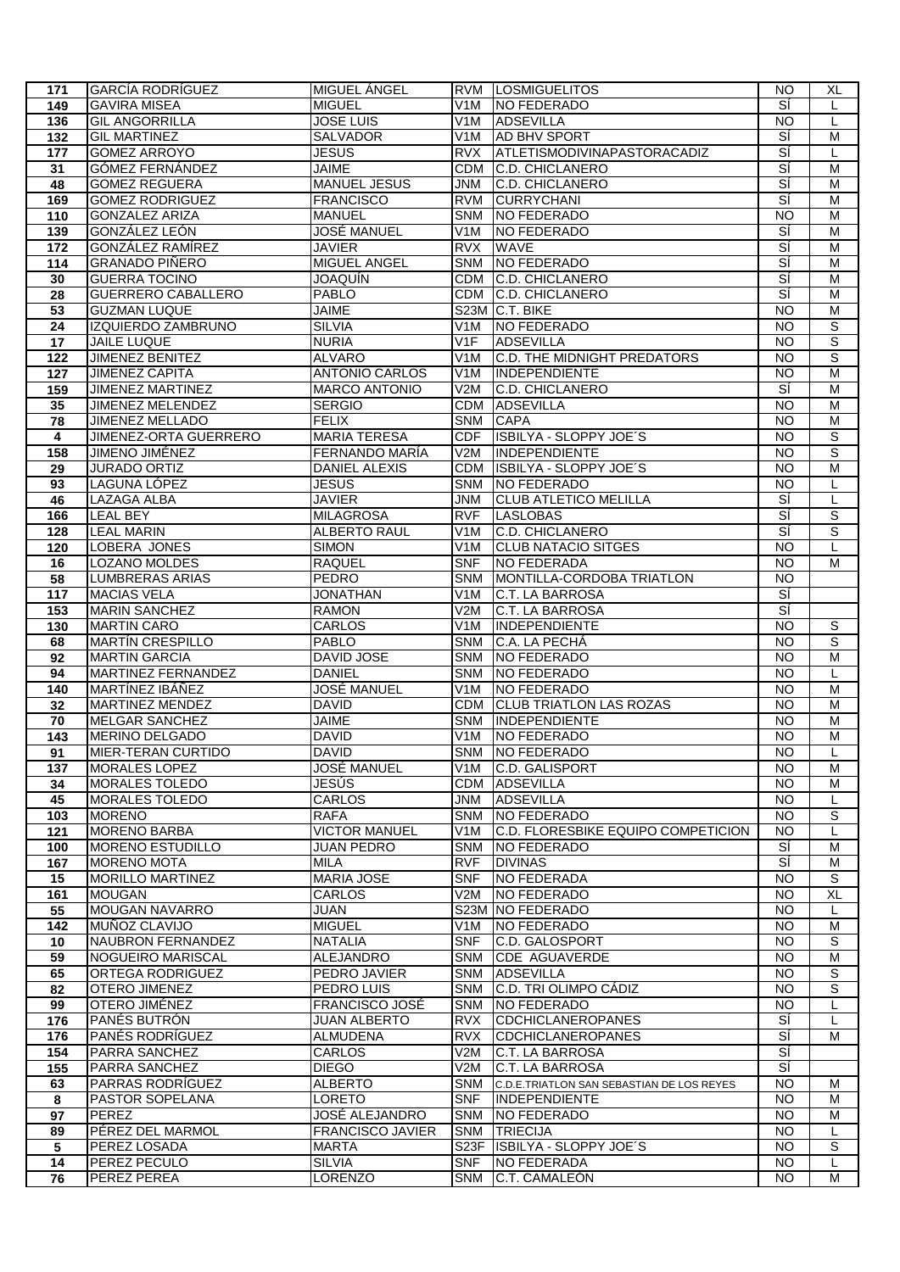| 171                     | <b>GARCÍA RODRÍGUEZ</b>   | MIGUEL ANGEL            |                   | <b>RVM LOSMIGUELITOS</b>                  | <b>NO</b>       | XL                  |
|-------------------------|---------------------------|-------------------------|-------------------|-------------------------------------------|-----------------|---------------------|
| 149                     | <b>GAVIRA MISEA</b>       | <b>MIGUEL</b>           | V <sub>1</sub> M  | NO FEDERADO                               | sí              | L                   |
| 136                     | <b>GIL ANGORRILLA</b>     | <b>JOSE LUIS</b>        | V1M               | <b>ADSEVILLA</b>                          | <b>NO</b>       | L                   |
| 132                     | <b>GIL MARTINEZ</b>       | SALVADOR                | V <sub>1</sub> M  | AD BHV SPORT                              | SÍ              | M                   |
| 177                     | <b>GOMEZ ARROYO</b>       | JESUS                   | <b>RVX</b>        | ATLETISMODIVINAPASTORACADIZ               | ΞÍ              |                     |
|                         | <b>GÓMEZ FERNÁNDEZ</b>    |                         |                   |                                           | डां             | L<br>$\overline{M}$ |
| 31                      |                           | <b>JAIME</b>            | <b>CDM</b>        | <b>C.D. CHICLANERO</b>                    |                 |                     |
| 48                      | <b>GOMEZ REGUERA</b>      | <b>MANUEL JESUS</b>     | <b>JNM</b>        | C.D. CHICLANERO                           | डां             | M                   |
| 169                     | <b>GOMEZ RODRIGUEZ</b>    | <b>FRANCISCO</b>        | <b>RVM</b>        | <b>CURRYCHANI</b>                         | sí              | M                   |
| 110                     | <b>GONZALEZ ARIZA</b>     | <b>MANUEL</b>           | <b>SNM</b>        | NO FEDERADO                               | <b>NO</b>       | M                   |
| 139                     | GONZÁLEZ LEÓN             | <b>JOSÉ MANUEL</b>      | V1M               | NO FEDERADO                               | Ξí              | M                   |
| 172                     | GONZÁLEZ RAMÍREZ          | <b>JAVIER</b>           | <b>RVX</b>        | <b>WAVE</b>                               | डां             | M                   |
| 114                     | <b>GRANADO PIÑERO</b>     | MIGUEL ANGEL            | <b>SNM</b>        | NO FEDERADO                               | Ξí              | M                   |
| 30                      | <b>GUERRA TOCINO</b>      | JOAQUÍN                 | <b>CDM</b>        | C.D. CHICLANERO                           | डां             | M                   |
| 28                      | <b>GUERRERO CABALLERO</b> | <b>PABLO</b>            | CDM               | <b>C.D. CHICLANERO</b>                    | डां             | M                   |
| 53                      | <b>GUZMAN LUQUE</b>       | <b>JAIME</b>            |                   | S23M C.T. BIKE                            | <b>NO</b>       | $\overline{M}$      |
| 24                      | IZQUIERDO ZAMBRUNO        | <b>SILVIA</b>           | V <sub>1</sub> M  | NO FEDERADO                               | <b>NO</b>       | S                   |
|                         |                           |                         |                   |                                           |                 | $\overline{s}$      |
| 17                      | JAILE LUQUE               | <b>NURIA</b>            | V <sub>1</sub> F  | <b>ADSEVILLA</b>                          | <b>NO</b>       |                     |
| 122                     | JIMENEZ BENITEZ           | <b>ALVARO</b>           | V1M               | C.D. THE MIDNIGHT PREDATORS               | <b>NO</b>       | $\overline{s}$      |
| 127                     | <b>JIMENEZ CAPITA</b>     | <b>ANTONIO CARLOS</b>   | V1M               | <b>INDEPENDIENTE</b>                      | $\overline{NO}$ | $\overline{M}$      |
| 159                     | <b>JIMENEZ MARTINEZ</b>   | <b>MARCO ANTONIO</b>    | V2M               | <b>C.D. CHICLANERO</b>                    | डां             | M                   |
| 35                      | JIMENEZ MELENDEZ          | <b>SERGIO</b>           | CDM               | <b>ADSEVILLA</b>                          | <b>NO</b>       | M                   |
| 78                      | <b>JIMENEZ MELLADO</b>    | <b>FELIX</b>            | <b>SNM</b>        | <b>CAPA</b>                               | <b>NO</b>       | M                   |
| $\overline{\mathbf{4}}$ | JIMENEZ-ORTA GUERRERO     | <b>MARIA TERESA</b>     | <b>CDF</b>        | ISBILYA - SLOPPY JOE'S                    | <b>NO</b>       | S                   |
| 158                     | JIMENO JIMÉNEZ            | FERNANDO MARÍA          | V2M               | <b>INDEPENDIENTE</b>                      | NO              | S                   |
| 29                      | <b>JURADO ORTIZ</b>       | <b>DANIEL ALEXIS</b>    | <b>CDM</b>        | ISBILYA - SLOPPY JOE'S                    | <b>NO</b>       | M                   |
| 93                      | <b>LAGUNA LÓPEZ</b>       | <b>JESUS</b>            | <b>SNM</b>        | NO FEDERADO                               | $\overline{NO}$ | L                   |
| 46                      | LAZAGA ALBA               | <b>JAVIER</b>           | <b>MML</b>        | <b>CLUB ATLETICO MELILLA</b>              | sí              | L                   |
|                         | <b>LEAL BEY</b>           | <b>MILAGROSA</b>        | <b>RVF</b>        | <b>LASLOBAS</b>                           | sí              | S                   |
| 166                     |                           |                         |                   |                                           |                 |                     |
| 128                     | <b>LEAL MARIN</b>         | <b>ALBERTO RAUL</b>     | V1M               | C.D. CHICLANERO                           | sí              | $\overline{s}$      |
| 120                     | LOBERA JONES              | <b>SIMON</b>            | V <sub>1</sub> M  | <b>CLUB NATACIO SITGES</b>                | <b>NO</b>       | L                   |
| 16                      | <b>LOZANO MOLDES</b>      | <b>RAQUEL</b>           | <b>SNF</b>        | <b>NO FEDERADA</b>                        | <b>NO</b>       | M                   |
| 58                      | <b>LUMBRERAS ARIAS</b>    | <b>PEDRO</b>            | <b>SNM</b>        | MONTILLA-CORDOBA TRIATLON                 | <b>NO</b>       |                     |
| 117                     | <b>MACIAS VELA</b>        | <b>JONATHAN</b>         | V <sub>1</sub> M  | <b>C.T. LA BARROSA</b>                    | डां             |                     |
| 153                     | <b>MARIN SANCHEZ</b>      | <b>RAMON</b>            | V2M               | C.T. LA BARROSA                           | डां             |                     |
| 130                     | <b>MARTIN CARO</b>        | CARLOS                  | V1M               | INDEPENDIENTE                             | <b>NO</b>       | S                   |
| 68                      | <b>MARTÍN CRESPILLO</b>   | <b>PABLO</b>            | <b>SNM</b>        | C.A. LA PECHA                             | <b>NO</b>       | S                   |
| 92                      | <b>MARTIN GARCIA</b>      | DAVID JOSE              | SNM               | NO FEDERADO                               | <b>NO</b>       | M                   |
| 94                      | <b>MARTINEZ FERNANDEZ</b> | <b>DANIEL</b>           | <b>SNM</b>        | NO FEDERADO                               | <b>NO</b>       | L                   |
| 140                     | <b>MARTÍNEZ IBÁÑEZ</b>    | JOSÉ MANUEL             | V1M               | NO FEDERADO                               | NO              | M                   |
|                         |                           |                         |                   |                                           |                 | $\overline{M}$      |
| 32                      | <b>MARTINEZ MENDEZ</b>    | <b>DAVID</b>            | <b>CDM</b>        | <b>CLUB TRIATLON LAS ROZAS</b>            | $\overline{3}$  |                     |
| 70                      | <b>MELGAR SANCHEZ</b>     | <b>JAIME</b>            | <b>SNM</b>        | INDEPENDIENTE                             | <b>NO</b>       | M                   |
| 143                     | <b>MERINO DELGADO</b>     | <b>DAVID</b>            | V <sub>1</sub> M  | NO FEDERADO                               | <b>NO</b>       | $\overline{M}$      |
| 91                      | MIER-TERAN CURTIDO        | <b>DAVID</b>            |                   | SNM NO FEDERADO                           | $\overline{N}$  | L                   |
| 137                     | <b>MORALES LOPEZ</b>      | JOSÉ MANUEL             | V1M               | C.D. GALISPORT                            | NO.             | м                   |
| 34                      | MORALES TOLEDO            | JESÚS                   | CDM               | <b>ADSEVILLA</b>                          | <b>NO</b>       | м                   |
| 45                      | <b>MORALES TOLEDO</b>     | <b>CARLOS</b>           | JNM               | <b>ADSEVILLA</b>                          | $\overline{3}$  | L                   |
| 103                     | <b>MORENO</b>             | RAFA                    | <b>SNM</b>        | NO FEDERADO                               | <b>NO</b>       | S                   |
| 121                     | <b>MORENO BARBA</b>       | <b>VICTOR MANUEL</b>    | V <sub>1</sub> M  | IC.D. FLORESBIKE EQUIPO COMPETICION       | <b>NO</b>       | L                   |
| 100                     | <b>MORENO ESTUDILLO</b>   | <b>JUAN PEDRO</b>       | <b>SNM</b>        | NO FEDERADO                               | SÍ              | м                   |
| 167                     | <b>MORENO MOTA</b>        | MILA                    | <b>RVF</b>        | <b>DIVINAS</b>                            | SÍ              | M                   |
| 15                      | <b>MORILLO MARTINEZ</b>   | <b>MARIA JOSE</b>       | <b>SNF</b>        | NO FEDERADA                               | <b>NO</b>       | S                   |
| 161                     | <b>MOUGAN</b>             | CARLOS                  | V2M               | NO FEDERADO                               | <b>NO</b>       | XL                  |
|                         |                           |                         |                   | S23M NO FEDERADO                          |                 |                     |
| 55                      | <b>MOUGAN NAVARRO</b>     | JUAN                    |                   |                                           | $\overline{10}$ | L                   |
| 142                     | MUÑOZ CLAVIJO             | <b>MIGUEL</b>           | V <sub>1</sub> M  | NO FEDERADO                               | <b>NO</b>       | M                   |
| 10                      | NAUBRON FERNANDEZ         | <b>NATALIA</b>          | <b>SNF</b>        | C.D. GALOSPORT                            | <b>NO</b>       | S                   |
| 59                      | <b>NOGUEIRO MARISCAL</b>  | ALEJANDRO               | SNM               | <b>CDE AGUAVERDE</b>                      | <b>NO</b>       | M                   |
| 65                      | ORTEGA RODRIGUEZ          | PEDRO JAVIER            | SNM               | <b>ADSEVILLA</b>                          | <b>NO</b>       | S                   |
| 82                      | <b>OTERO JIMENEZ</b>      | PEDRO LUIS              | <b>SNM</b>        | C.D. TRI OLIMPO CÁDIZ                     | <b>NO</b>       | S                   |
| 99                      | OTERO JIMÉNEZ             | <b>FRANCISCO JOSÉ</b>   | <b>SNM</b>        | NO FEDERADO                               | <b>NO</b>       | L                   |
| 176                     | PANÉS BUTRÓN              | <b>JUAN ALBERTO</b>     | <b>RVX</b>        | <b>CDCHICLANEROPANES</b>                  | si              | L                   |
| 176                     | PANÉS RODRÍGUEZ           | <b>ALMUDENA</b>         | <b>RVX</b>        | <b>CDCHICLANEROPANES</b>                  | Ξí              | M                   |
| 154                     | <b>PARRA SANCHEZ</b>      | CARLOS                  | V2M               | C.T. LA BARROSA                           | SÍ              |                     |
| 155                     | PARRA SANCHEZ             | <b>DIEGO</b>            | V2M               | <b>C.T. LA BARROSA</b>                    | ΞÍ              |                     |
| 63                      | <b>PARRAS RODRÍGUEZ</b>   |                         | <b>SNM</b>        |                                           | <b>NO</b>       | м                   |
|                         |                           | <b>ALBERTO</b>          |                   | C.D.E.TRIATLON SAN SEBASTIAN DE LOS REYES |                 |                     |
| 8                       | PASTOR SOPELANA           | LORETO                  | <b>SNF</b>        | INDEPENDIENTE                             | <b>NO</b>       | м                   |
| 97                      | PEREZ                     | JOSÉ ALEJANDRO          | SNM               | NO FEDERADO                               | <b>NO</b>       | м                   |
| 89                      | PÉREZ DEL MARMOL          | <b>FRANCISCO JAVIER</b> | <b>SNM</b>        | TRIECIJA                                  | <b>NO</b>       | L                   |
| 5                       | PEREZ LOSADA              | <b>MARTA</b>            | S <sub>23</sub> F | ISBILYA - SLOPPY JOE'S                    | <b>NO</b>       | $\overline{s}$      |
| 14                      | <b>PEREZ PECULO</b>       | <b>SILVIA</b>           | <b>SNF</b>        | NO FEDERADA                               | <b>NO</b>       | L                   |
| 76                      | PEREZ PEREA               | LORENZO                 | <b>SNM</b>        | C.T. CAMALEÓN                             | <b>NO</b>       | M                   |